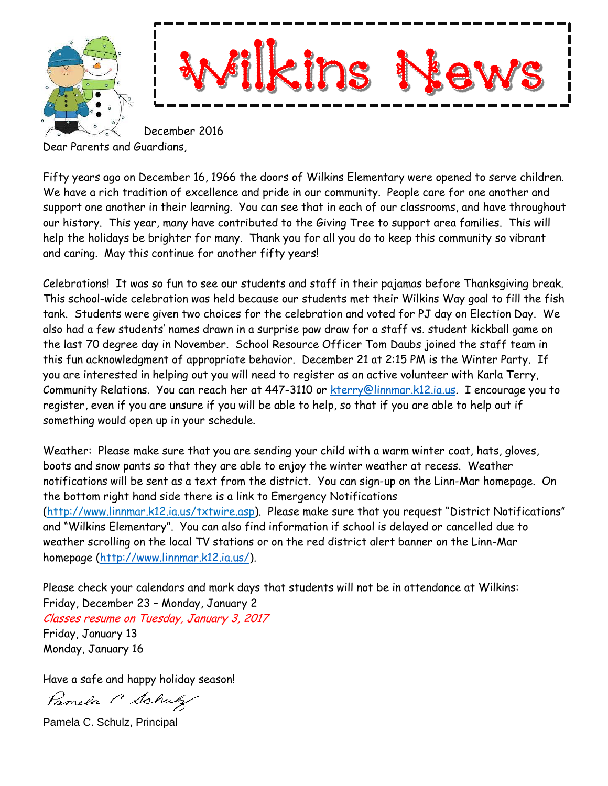



December 2016

Dear Parents and Guardians,

Fifty years ago on December 16, 1966 the doors of Wilkins Elementary were opened to serve children. We have a rich tradition of excellence and pride in our community. People care for one another and support one another in their learning. You can see that in each of our classrooms, and have throughout our history. This year, many have contributed to the Giving Tree to support area families. This will help the holidays be brighter for many. Thank you for all you do to keep this community so vibrant and caring. May this continue for another fifty years!

Celebrations! It was so fun to see our students and staff in their pajamas before Thanksgiving break. This school-wide celebration was held because our students met their Wilkins Way goal to fill the fish tank. Students were given two choices for the celebration and voted for PJ day on Election Day. We also had a few students' names drawn in a surprise paw draw for a staff vs. student kickball game on the last 70 degree day in November. School Resource Officer Tom Daubs joined the staff team in this fun acknowledgment of appropriate behavior. December 21 at 2:15 PM is the Winter Party. If you are interested in helping out you will need to register as an active volunteer with Karla Terry, Community Relations. You can reach her at 447-3110 or [kterry@linnmar.k12.ia.us.](mailto:kterry@linnmar.k12.ia.us) I encourage you to register, even if you are unsure if you will be able to help, so that if you are able to help out if something would open up in your schedule.

Weather: Please make sure that you are sending your child with a warm winter coat, hats, gloves, boots and snow pants so that they are able to enjoy the winter weather at recess. Weather notifications will be sent as a text from the district. You can sign-up on the Linn-Mar homepage. On the bottom right hand side there is a link to Emergency Notifications [\(http://www.linnmar.k12.ia.us/txtwire.asp](http://www.linnmar.k12.ia.us/txtwire.asp)). Please make sure that you request "District Notifications" and "Wilkins Elementary". You can also find information if school is delayed or cancelled due to weather scrolling on the local TV stations or on the red district alert banner on the Linn-Mar homepage [\(http://www.linnmar.k12.ia.us/\)](http://www.linnmar.k12.ia.us/).

Please check your calendars and mark days that students will not be in attendance at Wilkins: Friday, December 23 – Monday, January 2

Classes resume on Tuesday, January 3, 2017 Friday, January 13 Monday, January 16

Have a safe and happy holiday season!

Pamela C. Schulz

Pamela C. Schulz, Principal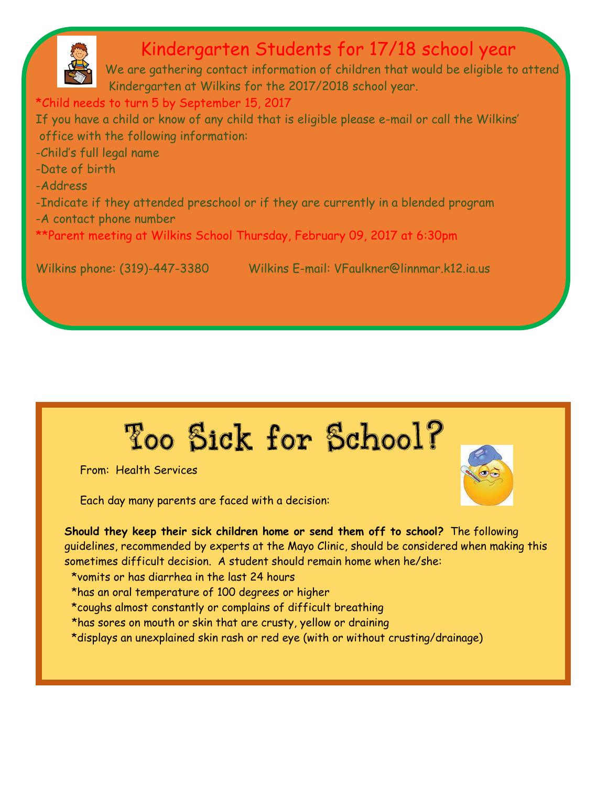

## Kindergarten Students for 17/18 school year

We are gathering contact information of children that would be eligible to attend Kindergarten at Wilkins for the 2017/2018 school year.

\*Child needs to turn 5 by September 15, 2017

If you have a child or know of any child that is eligible please e-mail or call the Wilkins' office with the following information:

- -Child's full legal name
- -Date of birth
- -Address

I

- -Indicate if they attended preschool or if they are currently in a blended program
- -A contact phone number

\*\*Parent meeting at Wilkins School Thursday, February 09, 2017 at 6:30pm

Wilkins phone: (319)-447-3380 Wilkins E-mail: VFaulkner@linnmar.k12.ia.us

# Too Sick for School?

From: Health Services

Each day many parents are faced with a decision:

**Should they keep their sick children home or send them off to school?** The following guidelines, recommended by experts at the Mayo Clinic, should be considered when making this sometimes difficult decision. A student should remain home when he/she:

- \*vomits or has diarrhea in the last 24 hours
- \*has an oral temperature of 100 degrees or higher
- \*coughs almost constantly or complains of difficult breathing
- \*has sores on mouth or skin that are crusty, yellow or draining
- \*displays an unexplained skin rash or red eye (with or without crusting/drainage)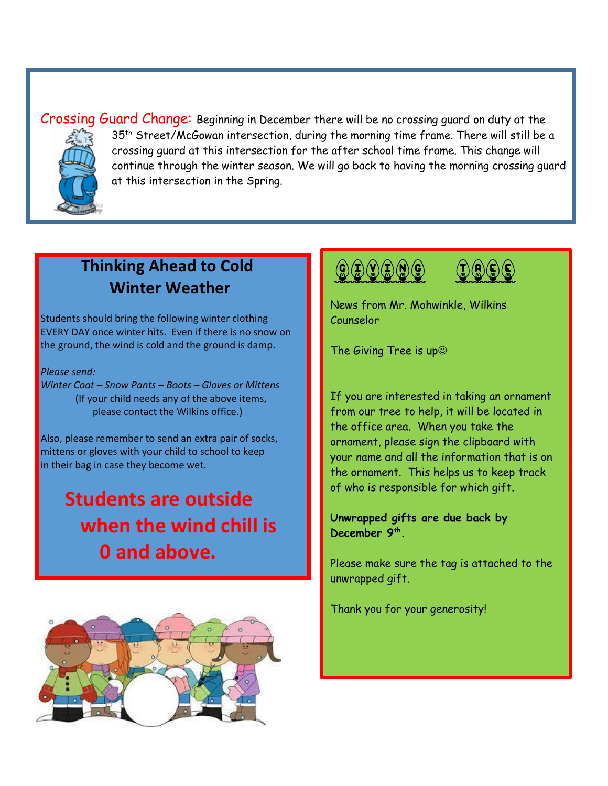Crossing Guard Change: Beginning in December there will be no crossing guard on duty at the 35<sup>th</sup> Street/McGowan intersection, during the morning time frame. There will still be a crossing guard at this intersection for the after school time frame. This change will continue through the winter season. We will go back to having the morning crossing guard at this intersection in the Spring.

#### **Thinking Ahead to Cold Winter Weather**

Students should bring the following winter clothing EVERY DAY once winter hits. Even if there is no snow on the ground, the wind is cold and the ground is damp.

*Please send:* 

*Winter Coat – Snow Pants – Boots – Gloves or Mittens* (If your child needs any of the above items, please contact the Wilkins office.)

Also, please remember to send an extra pair of socks, mittens or gloves with your child to school to keep in their bag in case they become wet.

# **Students are outside when the wind chill is 0 and above.**







News from Mr. Mohwinkle, Wilkins Counselor

The Giving Tree is up

If you are interested in taking an ornament from our tree to help, it will be located in the office area. When you take the ornament, please sign the clipboard with your name and all the information that is on the ornament. This helps us to keep track of who is responsible for which gift.

**Unwrapped gifts are due back by December 9th .**

Please make sure the tag is attached to the unwrapped gift.

Thank you for your generosity!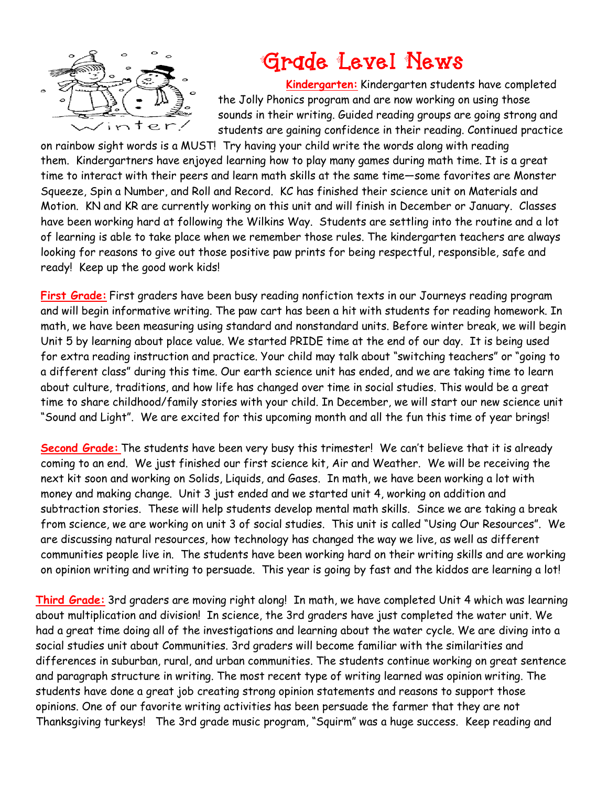

# **Grade Level News**

**Kindergarten:** Kindergarten students have completed the Jolly Phonics program and are now working on using those sounds in their writing. Guided reading groups are going strong and students are gaining confidence in their reading. Continued practice

on rainbow sight words is a MUST! Try having your child write the words along with reading them. Kindergartners have enjoyed learning how to play many games during math time. It is a great time to interact with their peers and learn math skills at the same time—some favorites are Monster Squeeze, Spin a Number, and Roll and Record. KC has finished their science unit on Materials and Motion. KN and KR are currently working on this unit and will finish in December or January. Classes have been working hard at following the Wilkins Way. Students are settling into the routine and a lot of learning is able to take place when we remember those rules. The kindergarten teachers are always looking for reasons to give out those positive paw prints for being respectful, responsible, safe and ready! Keep up the good work kids!

**First Grade:** First graders have been busy reading nonfiction texts in our Journeys reading program and will begin informative writing. The paw cart has been a hit with students for reading homework. In math, we have been measuring using standard and nonstandard units. Before winter break, we will begin Unit 5 by learning about place value. We started PRIDE time at the end of our day. It is being used for extra reading instruction and practice. Your child may talk about "switching teachers" or "going to a different class" during this time. Our earth science unit has ended, and we are taking time to learn about culture, traditions, and how life has changed over time in social studies. This would be a great time to share childhood/family stories with your child. In December, we will start our new science unit "Sound and Light". We are excited for this upcoming month and all the fun this time of year brings!

**Second Grade:** The students have been very busy this trimester! We can't believe that it is already coming to an end. We just finished our first science kit, Air and Weather. We will be receiving the next kit soon and working on Solids, Liquids, and Gases. In math, we have been working a lot with money and making change. Unit 3 just ended and we started unit 4, working on addition and subtraction stories. These will help students develop mental math skills. Since we are taking a break from science, we are working on unit 3 of social studies. This unit is called "Using Our Resources". We are discussing natural resources, how technology has changed the way we live, as well as different communities people live in. The students have been working hard on their writing skills and are working on opinion writing and writing to persuade. This year is going by fast and the kiddos are learning a lot!

**Third Grade:** 3rd graders are moving right along! In math, we have completed Unit 4 which was learning about multiplication and division! In science, the 3rd graders have just completed the water unit. We had a great time doing all of the investigations and learning about the water cycle. We are diving into a social studies unit about Communities. 3rd graders will become familiar with the similarities and differences in suburban, rural, and urban communities. The students continue working on great sentence and paragraph structure in writing. The most recent type of writing learned was opinion writing. The students have done a great job creating strong opinion statements and reasons to support those opinions. One of our favorite writing activities has been persuade the farmer that they are not Thanksgiving turkeys! The 3rd grade music program, "Squirm" was a huge success. Keep reading and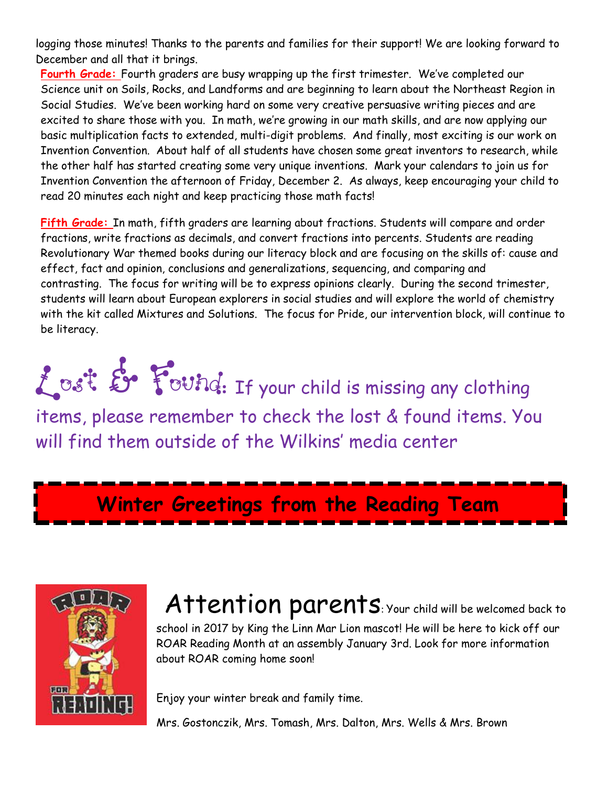logging those minutes! Thanks to the parents and families for their support! We are looking forward to December and all that it brings.

**Fourth Grade:** Fourth graders are busy wrapping up the first trimester. We've completed our Science unit on Soils, Rocks, and Landforms and are beginning to learn about the Northeast Region in Social Studies. We've been working hard on some very creative persuasive writing pieces and are excited to share those with you. In math, we're growing in our math skills, and are now applying our basic multiplication facts to extended, multi-digit problems. And finally, most exciting is our work on Invention Convention. About half of all students have chosen some great inventors to research, while the other half has started creating some very unique inventions. Mark your calendars to join us for Invention Convention the afternoon of Friday, December 2. As always, keep encouraging your child to read 20 minutes each night and keep practicing those math facts!

**Fifth Grade:** In math, fifth graders are learning about fractions. Students will compare and order fractions, write fractions as decimals, and convert fractions into percents. Students are reading Revolutionary War themed books during our literacy block and are focusing on the skills of: cause and effect, fact and opinion, conclusions and generalizations, sequencing, and comparing and contrasting. The focus for writing will be to express opinions clearly. During the second trimester, students will learn about European explorers in social studies and will explore the world of chemistry with the kit called Mixtures and Solutions. The focus for Pride, our intervention block, will continue to be literacy.

Lost & Found: If your child is missing any clothing items, please remember to check the lost & found items. You will find them outside of the Wilkins' media center

**Winter Greetings from the Reading Team**



Attention parents: Your child will be welcomed back to school in 2017 by King the Linn Mar Lion mascot! He will be here to kick off our ROAR Reading Month at an assembly January 3rd. Look for more information about ROAR coming home soon!

Enjoy your winter break and family time.

Mrs. Gostonczik, Mrs. Tomash, Mrs. Dalton, Mrs. Wells & Mrs. Brown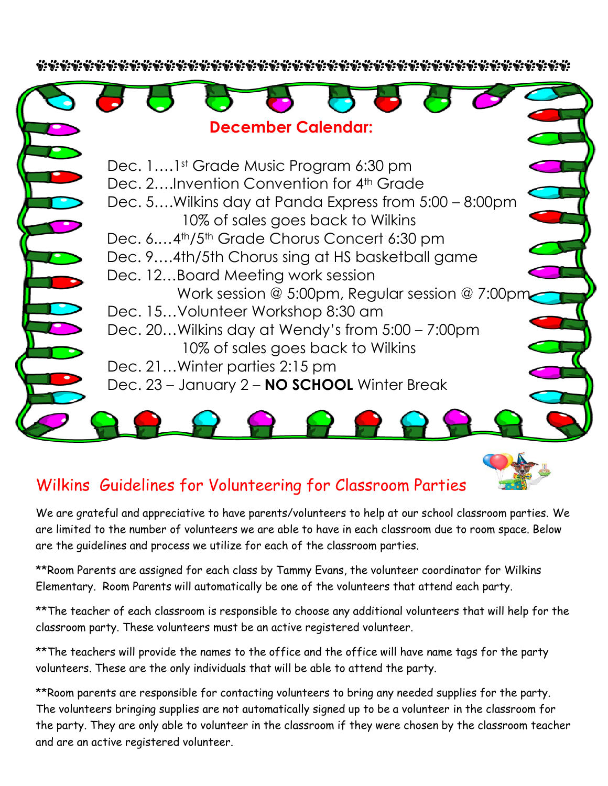

#### Wilkins Guidelines for Volunteering for Classroom Parties

We are grateful and appreciative to have parents/volunteers to help at our school classroom parties. We are limited to the number of volunteers we are able to have in each classroom due to room space. Below are the guidelines and process we utilize for each of the classroom parties.

\*\*Room Parents are assigned for each class by Tammy Evans, the volunteer coordinator for Wilkins Elementary. Room Parents will automatically be one of the volunteers that attend each party.

\*\*The teacher of each classroom is responsible to choose any additional volunteers that will help for the classroom party. These volunteers must be an active registered volunteer.

\*\* The teachers will provide the names to the office and the office will have name tags for the party volunteers. These are the only individuals that will be able to attend the party.

\*\*Room parents are responsible for contacting volunteers to bring any needed supplies for the party. The volunteers bringing supplies are not automatically signed up to be a volunteer in the classroom for the party. They are only able to volunteer in the classroom if they were chosen by the classroom teacher and are an active registered volunteer.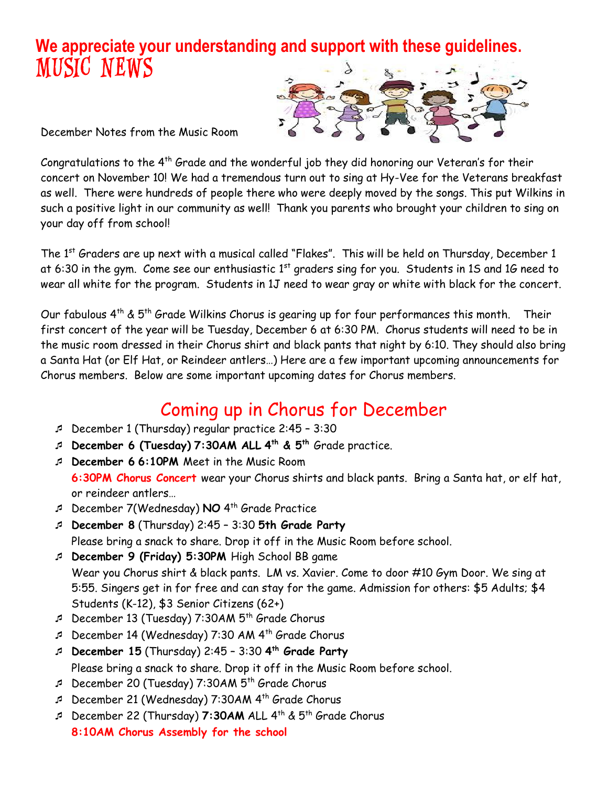### **We appreciate your understanding and support with these guidelines.** MUSIC NEWS



December Notes from the Music Room

Congratulations to the 4<sup>th</sup> Grade and the wonderful job they did honoring our Veteran's for their concert on November 10! We had a tremendous turn out to sing at Hy-Vee for the Veterans breakfast as well. There were hundreds of people there who were deeply moved by the songs. This put Wilkins in such a positive light in our community as well! Thank you parents who brought your children to sing on your day off from school!

The 1<sup>st</sup> Graders are up next with a musical called "Flakes". This will be held on Thursday, December 1 at 6:30 in the gym. Come see our enthusiastic  $1<sup>st</sup>$  graders sing for you. Students in 15 and 16 need to wear all white for the program. Students in 1J need to wear gray or white with black for the concert.

Our fabulous  $4^{th}$  &  $5^{th}$  Grade Wilkins Chorus is gearing up for four performances this month. Their first concert of the year will be Tuesday, December 6 at 6:30 PM. Chorus students will need to be in the music room dressed in their Chorus shirt and black pants that night by 6:10. They should also bring a Santa Hat (or Elf Hat, or Reindeer antlers…) Here are a few important upcoming announcements for Chorus members. Below are some important upcoming dates for Chorus members.

# Coming up in Chorus for December

- December 1 (Thursday) regular practice 2:45 3:30
- **December 6 (Tuesday) 7:30AM ALL 4 th & 5th** Grade practice.
- **December 6 6:10PM** Meet in the Music Room **6:30PM Chorus Concert** wear your Chorus shirts and black pants. Bring a Santa hat, or elf hat, or reindeer antlers…
- December 7(Wednesday) **NO** 4 th Grade Practice
- **December 8** (Thursday) 2:45 3:30 **5th Grade Party** Please bring a snack to share. Drop it off in the Music Room before school.

 **December 9 (Friday) 5:30PM** High School BB game Wear you Chorus shirt & black pants. LM vs. Xavier. Come to door #10 Gym Door. We sing at 5:55. Singers get in for free and can stay for the game. Admission for others: \$5 Adults; \$4 Students (K-12), \$3 Senior Citizens (62+)

- $\sqrt{D}$  December 13 (Tuesday) 7:30AM  $5<sup>th</sup>$  Grade Chorus
- December 14 (Wednesday) 7:30 AM 4th Grade Chorus
- **December 15** (Thursday) 2:45 3:30 **4 th Grade Party** Please bring a snack to share. Drop it off in the Music Room before school.
- $\sqrt{2}$  December 20 (Tuesday) 7:30AM  $5<sup>th</sup>$  Grade Chorus
- December 21 (Wednesday) 7:30AM 4 th Grade Chorus
- December 22 (Thursday) **7:30AM** ALL 4th & 5th Grade Chorus **8:10AM Chorus Assembly for the school**